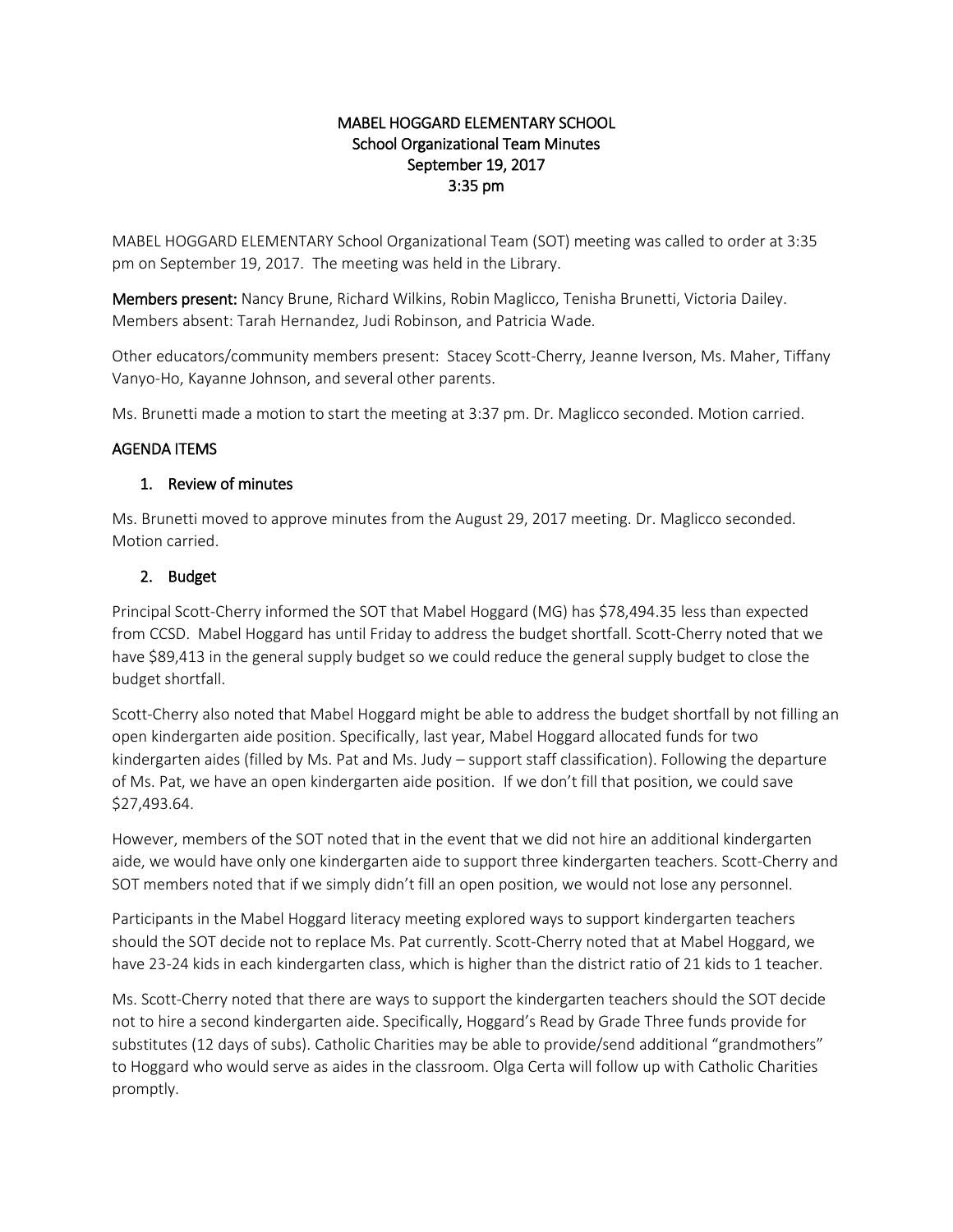## MABEL HOGGARD ELEMENTARY SCHOOL School Organizational Team Minutes September 19, 2017 3:35 pm

MABEL HOGGARD ELEMENTARY School Organizational Team (SOT) meeting was called to order at 3:35 pm on September 19, 2017. The meeting was held in the Library.

Members present: Nancy Brune, Richard Wilkins, Robin Maglicco, Tenisha Brunetti, Victoria Dailey. Members absent: Tarah Hernandez, Judi Robinson, and Patricia Wade.

Other educators/community members present: Stacey Scott-Cherry, Jeanne Iverson, Ms. Maher, Tiffany Vanyo-Ho, Kayanne Johnson, and several other parents.

Ms. Brunetti made a motion to start the meeting at 3:37 pm. Dr. Maglicco seconded. Motion carried.

## AGENDA ITEMS

## 1. Review of minutes

Ms. Brunetti moved to approve minutes from the August 29, 2017 meeting. Dr. Maglicco seconded. Motion carried.

## 2. Budget

Principal Scott-Cherry informed the SOT that Mabel Hoggard (MG) has \$78,494.35 less than expected from CCSD. Mabel Hoggard has until Friday to address the budget shortfall. Scott-Cherry noted that we have \$89,413 in the general supply budget so we could reduce the general supply budget to close the budget shortfall.

Scott-Cherry also noted that Mabel Hoggard might be able to address the budget shortfall by not filling an open kindergarten aide position. Specifically, last year, Mabel Hoggard allocated funds for two kindergarten aides (filled by Ms. Pat and Ms. Judy – support staff classification). Following the departure of Ms. Pat, we have an open kindergarten aide position. If we don't fill that position, we could save \$27,493.64.

However, members of the SOT noted that in the event that we did not hire an additional kindergarten aide, we would have only one kindergarten aide to support three kindergarten teachers. Scott-Cherry and SOT members noted that if we simply didn't fill an open position, we would not lose any personnel.

Participants in the Mabel Hoggard literacy meeting explored ways to support kindergarten teachers should the SOT decide not to replace Ms. Pat currently. Scott-Cherry noted that at Mabel Hoggard, we have 23-24 kids in each kindergarten class, which is higher than the district ratio of 21 kids to 1 teacher.

Ms. Scott-Cherry noted that there are ways to support the kindergarten teachers should the SOT decide not to hire a second kindergarten aide. Specifically, Hoggard's Read by Grade Three funds provide for substitutes (12 days of subs). Catholic Charities may be able to provide/send additional "grandmothers" to Hoggard who would serve as aides in the classroom. Olga Certa will follow up with Catholic Charities promptly.